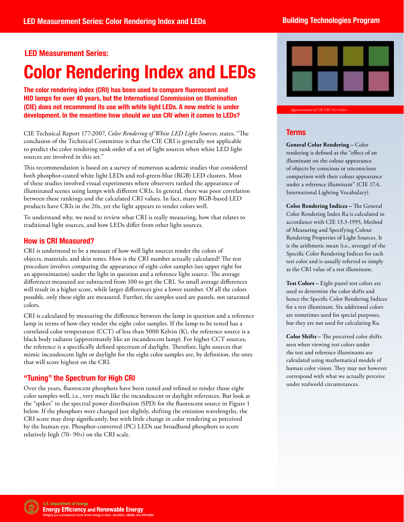# **LED Measurement Series:**

# **Color Rendering Index and LEDs**

**The color rendering index (CRI) has been used to compare fluorescent and HID lamps for over 40 years, but the International Commission on Illumination (CIE) does not recommend its use with white light LEDs. A new metric is under development. In the meantime how should we use CRI when it comes to LEDs?** 

CIE Technical Report 177:2007, *Color Rendering of White LED Light Sources*, states, "The conclusion of the Technical Committee is that the CIE CRI is generally not applicable to predict the color rendering rank order of a set of light sources when white LED light sources are involved in this set."

This recommendation is based on a survey of numerous academic studies that considered both phosphor-coated white light LEDs and red-green-blue (RGB) LED clusters. Most of these studies involved visual experiments where observers ranked the appearance of illuminated scenes using lamps with different CRIs. In general, there was poor correlation between these rankings and the calculated CRI values. In fact, many RGB-based LED products have CRIs in the 20s, yet the light appears to render colors well.

To understand why, we need to review what CRI is really measuring, how that relates to traditional light sources, and how LEDs differ from other light sources.

# How is CRI Measured?

 an approximation) under the light in question and a reference light source. The average differences measured are subtracted from 100 to get the CRI. So small average differences will result in a higher score, while larger differences give a lower number. Of all the colors CRI is understood to be a measure of how well light sources render the colors of objects, materials, and skin tones. How is the CRI number actually calculated? The test procedure involves comparing the appearance of eight color samples (see upper right for possible, only these eight are measured. Further, the samples used are pastels, not saturated colors.

CRI is calculated by measuring the difference between the lamp in question and a reference lamp in terms of how they render the eight color samples. If the lamp to be tested has a correlated color temperature (CCT) of less than 5000 Kelvin (K), the reference source is a black body radiator (approximately like an incandescent lamp). For higher CCT sources, the reference is a specifically defined spectrum of daylight. Therefore, light sources that mimic incandescent light or daylight for the eight color samples are, by definition, the ones that will score highest on the CRI.

# "Tuning" the Spectrum for High CRI

Over the years, fluorescent phosphors have been tuned and refined to render those eight color samples well, i.e., very much like the incandescent or daylight references. But look at the "spikes" in the spectral power distribution (SPD) for the fluorescent source in Figure 1 below. If the phosphors were changed just slightly, shifting the emission wavelengths, the CRI score may drop significantly, but with little change in color rendering as perceived by the human eye. Phosphor-converted (PC) LEDs use broadband phosphors to score relatively high (70- 90+) on the CRI scale.



*Approximation of CIE CRI Test Colors* 

### **Terms**

**General Color Rendering –** Color rendering is defined as the "effect of an illuminant on the colour appearance of objects by conscious or unconscious comparison with their colour appearance under a reference illuminant" (CIE 17.4, International Lighting Vocabulary).

**Color Rendering Indices –** The General Color Rendering Index Ra is calculated in accordance with CIE 13.3-1995, Method of Measuring and Specifying Colour Rendering Properties of Light Sources. It is the arithmetic mean (i.e., average) of the Specific Color Rendering Indices for each test color and is usually referred to simply as the CRI value of a test illuminant.

**Test Colors –** Eight pastel test colors are used to determine the color shifts and hence the Specific Color Rendering Indices for a test illuminant. Six additional colors are sometimes used for special purposes, but they are not used for calculating Ra.

**Color Shifts –** The perceived color shifts seen when viewing test colors under the test and reference illuminants are calculated using mathematical models of human color vision. They may not however correspond with what we actually perceive under realworld circumstances.